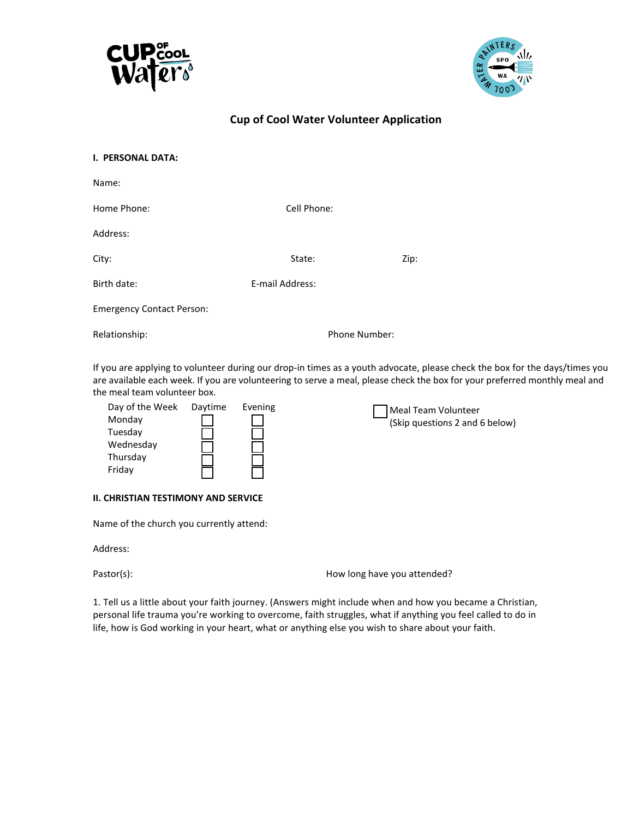



## **Cup of Cool Water Volunteer Application**

| I. PERSONAL DATA:                |                 |               |      |
|----------------------------------|-----------------|---------------|------|
| Name:                            |                 |               |      |
| Home Phone:                      | Cell Phone:     |               |      |
| Address:                         |                 |               |      |
| City:                            | State:          |               | Zip: |
| Birth date:                      | E-mail Address: |               |      |
| <b>Emergency Contact Person:</b> |                 |               |      |
| Relationship:                    |                 | Phone Number: |      |
|                                  |                 |               |      |

If you are applying to volunteer during our drop-in times as a youth advocate, please check the box for the days/times you are available each week. If you are volunteering to serve a meal, please check the box for your preferred monthly meal and the meal team volunteer box.

| Day of the Week<br>Monday<br>Tuesday<br>Wednesday | Daytime | Evening | Meal Team Volunteer<br>(Skip questions 2 and 6 below) |
|---------------------------------------------------|---------|---------|-------------------------------------------------------|
| Thursday<br>Friday                                |         |         |                                                       |

#### **II. CHRISTIAN TESTIMONY AND SERVICE**

Name of the church you currently attend:

Address:

Pastor(s): Pastor(s): Pastor(s):

1. Tell us a little about your faith journey. (Answers might include when and how you became a Christian, personal life trauma you're working to overcome, faith struggles, what if anything you feel called to do in life, how is God working in your heart, what or anything else you wish to share about your faith.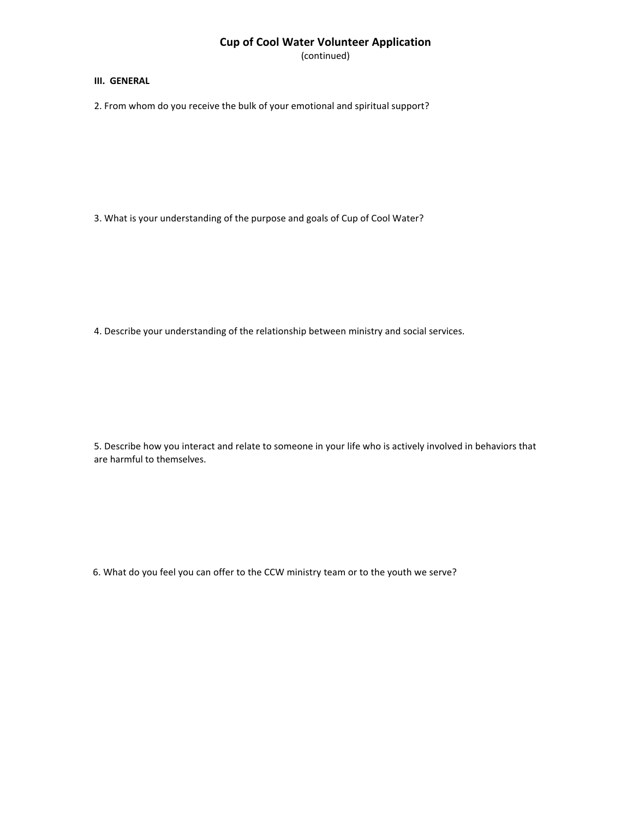## **Cup of Cool Water Volunteer Application**

(continued)

#### **III. GENERAL**

2. From whom do you receive the bulk of your emotional and spiritual support?

3. What is your understanding of the purpose and goals of Cup of Cool Water?

4. Describe your understanding of the relationship between ministry and social services.

5. Describe how you interact and relate to someone in your life who is actively involved in behaviors that are harmful to themselves.

6. What do you feel you can offer to the CCW ministry team or to the youth we serve?